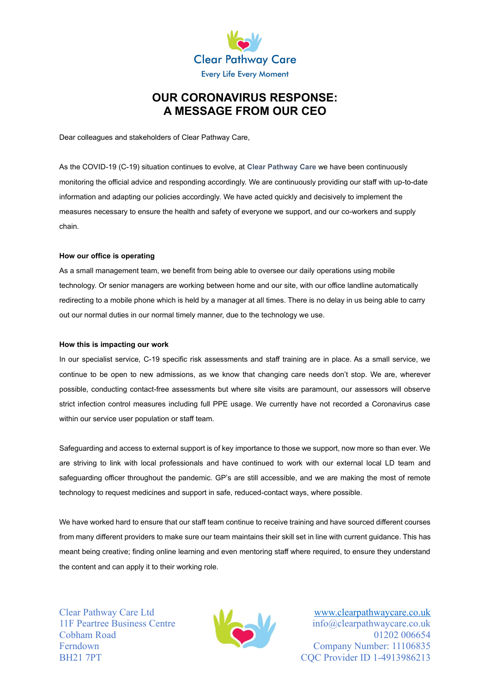

# **OUR CORONAVIRUS RESPONSE: A MESSAGE FROM OUR CEO**

Dear colleagues and stakeholders of Clear Pathway Care,

As the COVID-19 (C-19) situation continues to evolve, at **Clear Pathway Care** we have been continuously monitoring the official advice and responding accordingly. We are continuously providing our staff with up-to-date information and adapting our policies accordingly. We have acted quickly and decisively to implement the measures necessary to ensure the health and safety of everyone we support, and our co-workers and supply chain.

# **How our office is operating**

As a small management team, we benefit from being able to oversee our daily operations using mobile technology. Or senior managers are working between home and our site, with our office landline automatically redirecting to a mobile phone which is held by a manager at all times. There is no delay in us being able to carry out our normal duties in our normal timely manner, due to the technology we use.

#### **How this is impacting our work**

In our specialist service, C-19 specific risk assessments and staff training are in place. As a small service, we continue to be open to new admissions, as we know that changing care needs don't stop. We are, wherever possible, conducting contact-free assessments but where site visits are paramount, our assessors will observe strict infection control measures including full PPE usage. We currently have not recorded a Coronavirus case within our service user population or staff team.

Safeguarding and access to external support is of key importance to those we support, now more so than ever. We are striving to link with local professionals and have continued to work with our external local LD team and safeguarding officer throughout the pandemic. GP's are still accessible, and we are making the most of remote technology to request medicines and support in safe, reduced-contact ways, where possible.

We have worked hard to ensure that our staff team continue to receive training and have sourced different courses from many different providers to make sure our team maintains their skill set in line with current guidance. This has meant being creative; finding online learning and even mentoring staff where required, to ensure they understand the content and can apply it to their working role.



Clear Pathway Care Ltd [www.clearpathwaycare.co.uk](http://www.clearpathwaycare.co.uk/) 11F Peartree Business Centre **info@clearpathwaycare.co.uk** Cobham Road 01202 006654 Ferndown Company Number: 11106835 BH21 7PT COC Provider ID 1-4913986213